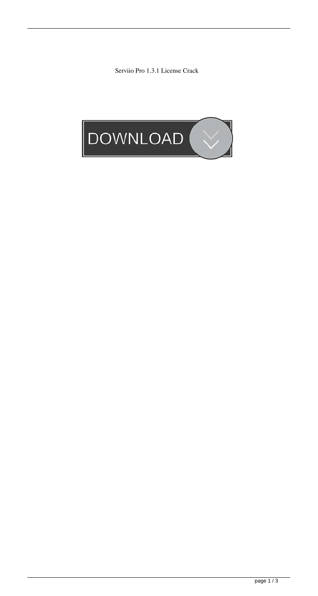Serviio Pro 1.3.1 License Crack

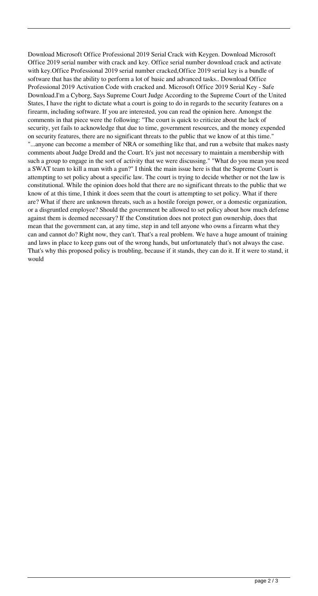Download Microsoft Office Professional 2019 Serial Crack with Keygen. Download Microsoft Office 2019 serial number with crack and key. Office serial number download crack and activate with key.Office Professional 2019 serial number cracked,Office 2019 serial key is a bundle of software that has the ability to perform a lot of basic and advanced tasks.. Download Office Professional 2019 Activation Code with cracked and. Microsoft Office 2019 Serial Key - Safe Download.I'm a Cyborg, Says Supreme Court Judge According to the Supreme Court of the United States, I have the right to dictate what a court is going to do in regards to the security features on a firearm, including software. If you are interested, you can read the opinion here. Amongst the comments in that piece were the following: "The court is quick to criticize about the lack of security, yet fails to acknowledge that due to time, government resources, and the money expended on security features, there are no significant threats to the public that we know of at this time." "...anyone can become a member of NRA or something like that, and run a website that makes nasty comments about Judge Dredd and the Court. It's just not necessary to maintain a membership with such a group to engage in the sort of activity that we were discussing." "What do you mean you need a SWAT team to kill a man with a gun?" I think the main issue here is that the Supreme Court is attempting to set policy about a specific law. The court is trying to decide whether or not the law is constitutional. While the opinion does hold that there are no significant threats to the public that we know of at this time, I think it does seem that the court is attempting to set policy. What if there are? What if there are unknown threats, such as a hostile foreign power, or a domestic organization, or a disgruntled employee? Should the government be allowed to set policy about how much defense against them is deemed necessary? If the Constitution does not protect gun ownership, does that mean that the government can, at any time, step in and tell anyone who owns a firearm what they can and cannot do? Right now, they can't. That's a real problem. We have a huge amount of training and laws in place to keep guns out of the wrong hands, but unfortunately that's not always the case. That's why this proposed policy is troubling, because if it stands, they can do it. If it were to stand, it would